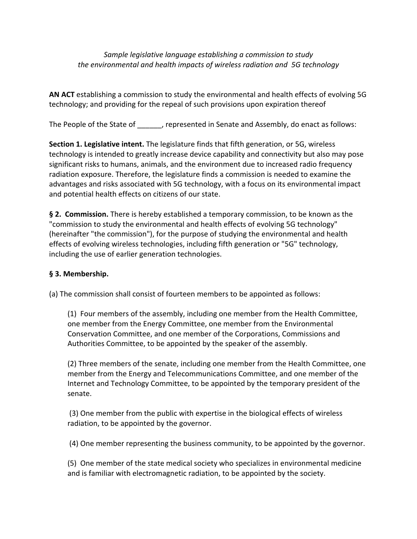*Sample legislative language establishing a commission to study the environmental and health impacts of wireless radiation and 5G technology* 

**AN ACT** establishing a commission to study the environmental and health effects of evolving 5G technology; and providing for the repeal of such provisions upon expiration thereof

The People of the State of \_\_\_\_\_\_, represented in Senate and Assembly, do enact as follows:

**Section 1. Legislative intent.** The legislature finds that fifth generation, or 5G, wireless technology is intended to greatly increase device capability and connectivity but also may pose significant risks to humans, animals, and the environment due to increased radio frequency radiation exposure. Therefore, the legislature finds a commission is needed to examine the advantages and risks associated with 5G technology, with a focus on its environmental impact and potential health effects on citizens of our state.

**§** 2. Commission. There is hereby established a temporary commission, to be known as the "commission to study the environmental and health effects of evolving 5G technology" (hereinafter "the commission"), for the purpose of studying the environmental and health effects of evolving wireless technologies, including fifth generation or "5G" technology, including the use of earlier generation technologies.

## **§ 3. Membership.**

(a) The commission shall consist of fourteen members to be appointed as follows:

(1) Four members of the assembly, including one member from the Health Committee, one member from the Energy Committee, one member from the Environmental Conservation Committee, and one member of the Corporations, Commissions and Authorities Committee, to be appointed by the speaker of the assembly.

(2) Three members of the senate, including one member from the Health Committee, one member from the Energy and Telecommunications Committee, and one member of the Internet and Technology Committee, to be appointed by the temporary president of the senate.

(3) One member from the public with expertise in the biological effects of wireless radiation, to be appointed by the governor.

(4) One member representing the business community, to be appointed by the governor.

(5) One member of the state medical society who specializes in environmental medicine and is familiar with electromagnetic radiation, to be appointed by the society.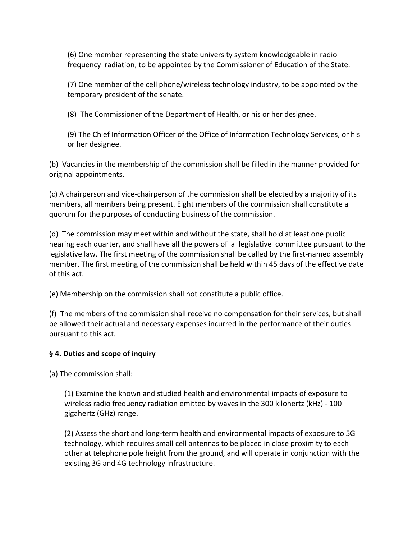(6) One member representing the state university system knowledgeable in radio frequency radiation, to be appointed by the Commissioner of Education of the State.

(7) One member of the cell phone/wireless technology industry, to be appointed by the temporary president of the senate.

(8) The Commissioner of the Department of Health, or his or her designee.

(9) The Chief Information Officer of the Office of Information Technology Services, or his or her designee.

(b) Vacancies in the membership of the commission shall be filled in the manner provided for original appointments.

(c) A chairperson and vice-chairperson of the commission shall be elected by a majority of its members, all members being present. Eight members of the commission shall constitute a quorum for the purposes of conducting business of the commission.

(d) The commission may meet within and without the state, shall hold at least one public hearing each quarter, and shall have all the powers of a legislative committee pursuant to the legislative law. The first meeting of the commission shall be called by the first-named assembly member. The first meeting of the commission shall be held within 45 days of the effective date of this act.

(e) Membership on the commission shall not constitute a public office.

(f) The members of the commission shall receive no compensation for their services, but shall be allowed their actual and necessary expenses incurred in the performance of their duties pursuant to this act.

## **§ 4. Duties and scope of inquiry**

(a) The commission shall:

(1) Examine the known and studied health and environmental impacts of exposure to wireless radio frequency radiation emitted by waves in the 300 kilohertz (kHz) - 100 gigahertz (GHz) range.

(2) Assess the short and long-term health and environmental impacts of exposure to 5G technology, which requires small cell antennas to be placed in close proximity to each other at telephone pole height from the ground, and will operate in conjunction with the existing 3G and 4G technology infrastructure.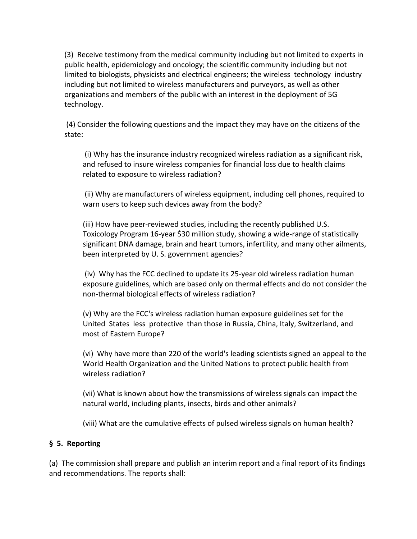(3) Receive testimony from the medical community including but not limited to experts in public health, epidemiology and oncology; the scientific community including but not limited to biologists, physicists and electrical engineers; the wireless technology industry including but not limited to wireless manufacturers and purveyors, as well as other organizations and members of the public with an interest in the deployment of 5G technology.

(4) Consider the following questions and the impact they may have on the citizens of the state:

(i) Why has the insurance industry recognized wireless radiation as a significant risk, and refused to insure wireless companies for financial loss due to health claims related to exposure to wireless radiation?

(ii) Why are manufacturers of wireless equipment, including cell phones, required to warn users to keep such devices away from the body?

(iii) How have peer-reviewed studies, including the recently published U.S. Toxicology Program 16-year \$30 million study, showing a wide-range of statistically significant DNA damage, brain and heart tumors, infertility, and many other ailments, been interpreted by U. S. government agencies?

(iv) Why has the FCC declined to update its 25-year old wireless radiation human exposure guidelines, which are based only on thermal effects and do not consider the non-thermal biological effects of wireless radiation?

(v) Why are the FCC's wireless radiation human exposure guidelines set for the United States less protective than those in Russia, China, Italy, Switzerland, and most of Eastern Europe?

(vi) Why have more than 220 of the world's leading scientists signed an appeal to the World Health Organization and the United Nations to protect public health from wireless radiation?

(vii) What is known about how the transmissions of wireless signals can impact the natural world, including plants, insects, birds and other animals?

(viii) What are the cumulative effects of pulsed wireless signals on human health?

## **§ 5. Reporting**

(a) The commission shall prepare and publish an interim report and a final report of its findings and recommendations. The reports shall: